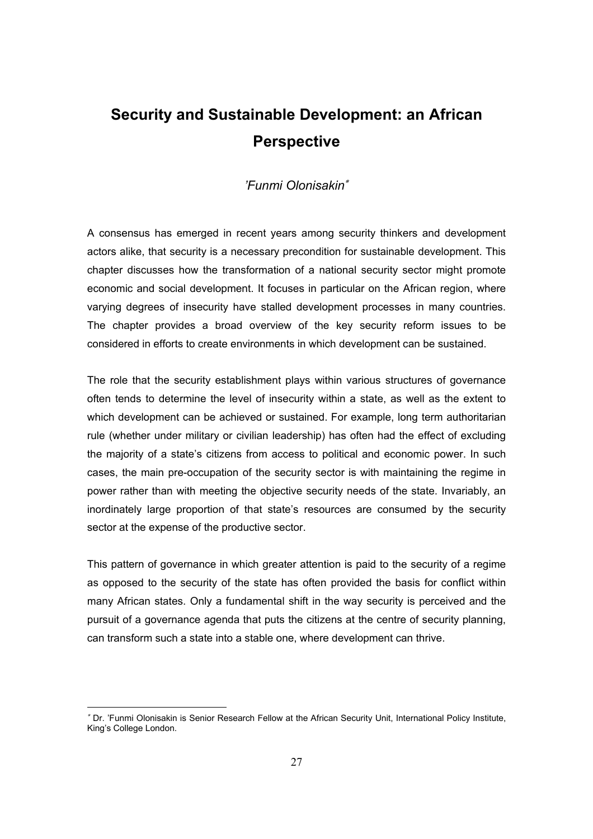# **Security and Sustainable Development: an African Perspective**

### *'Funmi Olonisakin*<sup>∗</sup>

A consensus has emerged in recent years among security thinkers and development actors alike, that security is a necessary precondition for sustainable development. This chapter discusses how the transformation of a national security sector might promote economic and social development. It focuses in particular on the African region, where varying degrees of insecurity have stalled development processes in many countries. The chapter provides a broad overview of the key security reform issues to be considered in efforts to create environments in which development can be sustained.

The role that the security establishment plays within various structures of governance often tends to determine the level of insecurity within a state, as well as the extent to which development can be achieved or sustained. For example, long term authoritarian rule (whether under military or civilian leadership) has often had the effect of excluding the majority of a state's citizens from access to political and economic power. In such cases, the main pre-occupation of the security sector is with maintaining the regime in power rather than with meeting the objective security needs of the state. Invariably, an inordinately large proportion of that state's resources are consumed by the security sector at the expense of the productive sector.

This pattern of governance in which greater attention is paid to the security of a regime as opposed to the security of the state has often provided the basis for conflict within many African states. Only a fundamental shift in the way security is perceived and the pursuit of a governance agenda that puts the citizens at the centre of security planning, can transform such a state into a stable one, where development can thrive.

<sup>∗</sup> Dr. 'Funmi Olonisakin is Senior Research Fellow at the African Security Unit, International Policy Institute, King's College London.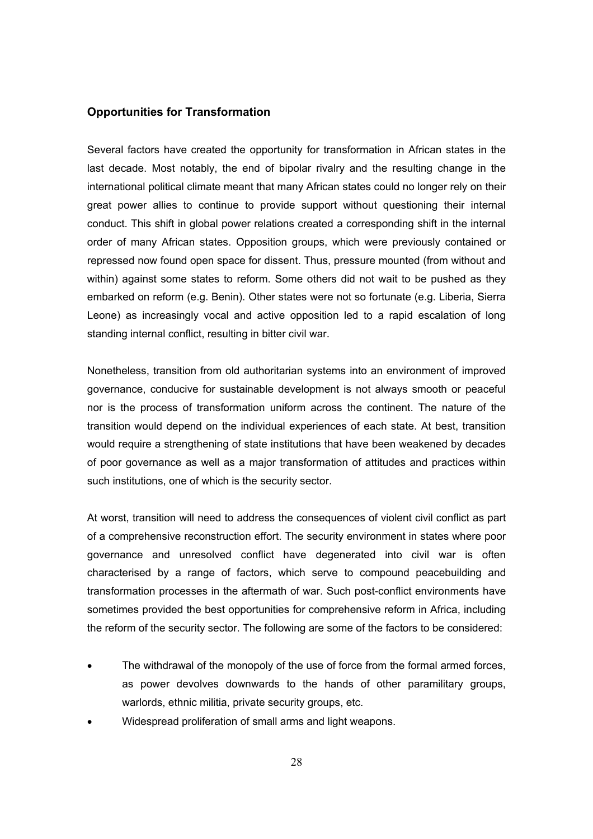#### **Opportunities for Transformation**

Several factors have created the opportunity for transformation in African states in the last decade. Most notably, the end of bipolar rivalry and the resulting change in the international political climate meant that many African states could no longer rely on their great power allies to continue to provide support without questioning their internal conduct. This shift in global power relations created a corresponding shift in the internal order of many African states. Opposition groups, which were previously contained or repressed now found open space for dissent. Thus, pressure mounted (from without and within) against some states to reform. Some others did not wait to be pushed as they embarked on reform (e.g. Benin). Other states were not so fortunate (e.g. Liberia, Sierra Leone) as increasingly vocal and active opposition led to a rapid escalation of long standing internal conflict, resulting in bitter civil war.

Nonetheless, transition from old authoritarian systems into an environment of improved governance, conducive for sustainable development is not always smooth or peaceful nor is the process of transformation uniform across the continent. The nature of the transition would depend on the individual experiences of each state. At best, transition would require a strengthening of state institutions that have been weakened by decades of poor governance as well as a major transformation of attitudes and practices within such institutions, one of which is the security sector.

At worst, transition will need to address the consequences of violent civil conflict as part of a comprehensive reconstruction effort. The security environment in states where poor governance and unresolved conflict have degenerated into civil war is often characterised by a range of factors, which serve to compound peacebuilding and transformation processes in the aftermath of war. Such post-conflict environments have sometimes provided the best opportunities for comprehensive reform in Africa, including the reform of the security sector. The following are some of the factors to be considered:

- The withdrawal of the monopoly of the use of force from the formal armed forces, as power devolves downwards to the hands of other paramilitary groups, warlords, ethnic militia, private security groups, etc.
- Widespread proliferation of small arms and light weapons.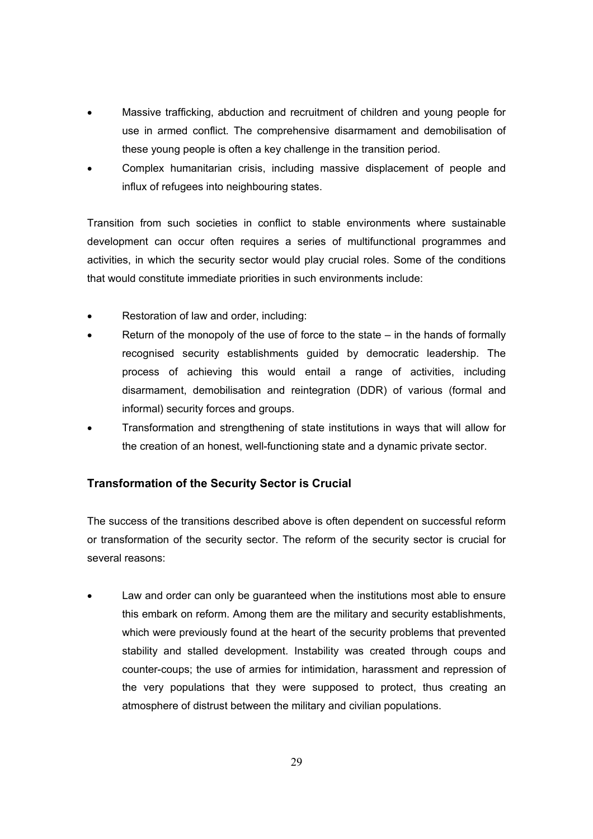- Massive trafficking, abduction and recruitment of children and young people for use in armed conflict. The comprehensive disarmament and demobilisation of these young people is often a key challenge in the transition period.
- Complex humanitarian crisis, including massive displacement of people and influx of refugees into neighbouring states.

Transition from such societies in conflict to stable environments where sustainable development can occur often requires a series of multifunctional programmes and activities, in which the security sector would play crucial roles. Some of the conditions that would constitute immediate priorities in such environments include:

- Restoration of law and order, including:
- Return of the monopoly of the use of force to the state  $-$  in the hands of formally recognised security establishments guided by democratic leadership. The process of achieving this would entail a range of activities, including disarmament, demobilisation and reintegration (DDR) of various (formal and informal) security forces and groups.
- Transformation and strengthening of state institutions in ways that will allow for the creation of an honest, well-functioning state and a dynamic private sector.

#### **Transformation of the Security Sector is Crucial**

The success of the transitions described above is often dependent on successful reform or transformation of the security sector. The reform of the security sector is crucial for several reasons:

Law and order can only be quaranteed when the institutions most able to ensure this embark on reform. Among them are the military and security establishments, which were previously found at the heart of the security problems that prevented stability and stalled development. Instability was created through coups and counter-coups; the use of armies for intimidation, harassment and repression of the very populations that they were supposed to protect, thus creating an atmosphere of distrust between the military and civilian populations.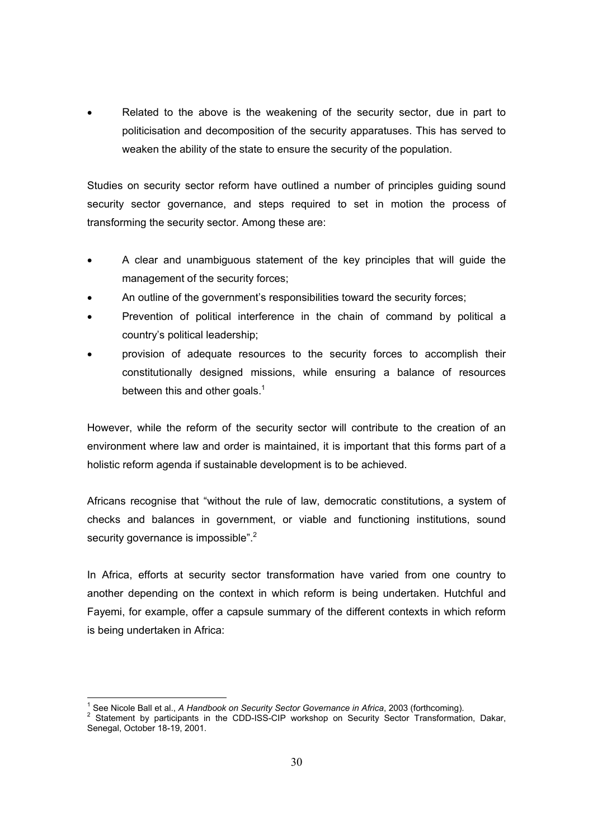Related to the above is the weakening of the security sector, due in part to politicisation and decomposition of the security apparatuses. This has served to weaken the ability of the state to ensure the security of the population.

Studies on security sector reform have outlined a number of principles guiding sound security sector governance, and steps required to set in motion the process of transforming the security sector. Among these are:

- A clear and unambiguous statement of the key principles that will guide the management of the security forces;
- An outline of the government's responsibilities toward the security forces;
- Prevention of political interference in the chain of command by political a country's political leadership;
- provision of adequate resources to the security forces to accomplish their constitutionally designed missions, while ensuring a balance of resources between this and other goals. $1$

However, while the reform of the security sector will contribute to the creation of an environment where law and order is maintained, it is important that this forms part of a holistic reform agenda if sustainable development is to be achieved.

Africans recognise that "without the rule of law, democratic constitutions, a system of checks and balances in government, or viable and functioning institutions, sound security governance is impossible". $2$ 

In Africa, efforts at security sector transformation have varied from one country to another depending on the context in which reform is being undertaken. Hutchful and Fayemi, for example, offer a capsule summary of the different contexts in which reform is being undertaken in Africa:

 1 See Nicole Ball et al., *A Handbook on Security Sector Governance in Africa*, 2003 (forthcoming). 2

<sup>2</sup> Statement by participants in the CDD-ISS-CIP workshop on Security Sector Transformation, Dakar, Senegal, October 18-19, 2001.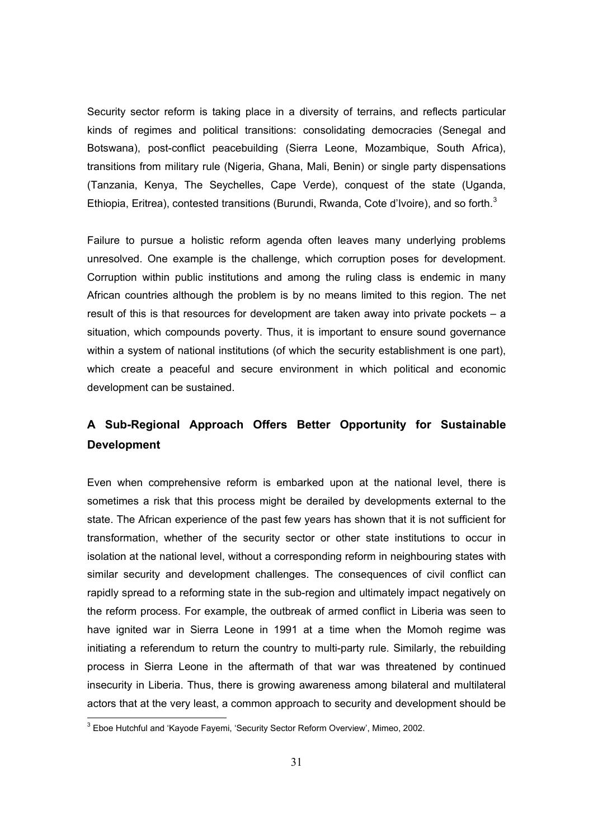Security sector reform is taking place in a diversity of terrains, and reflects particular kinds of regimes and political transitions: consolidating democracies (Senegal and Botswana), post-conflict peacebuilding (Sierra Leone, Mozambique, South Africa), transitions from military rule (Nigeria, Ghana, Mali, Benin) or single party dispensations (Tanzania, Kenya, The Seychelles, Cape Verde), conquest of the state (Uganda, Ethiopia, Eritrea), contested transitions (Burundi, Rwanda, Cote d'Ivoire), and so forth.<sup>3</sup>

Failure to pursue a holistic reform agenda often leaves many underlying problems unresolved. One example is the challenge, which corruption poses for development. Corruption within public institutions and among the ruling class is endemic in many African countries although the problem is by no means limited to this region. The net result of this is that resources for development are taken away into private pockets – a situation, which compounds poverty. Thus, it is important to ensure sound governance within a system of national institutions (of which the security establishment is one part), which create a peaceful and secure environment in which political and economic development can be sustained.

## **A Sub-Regional Approach Offers Better Opportunity for Sustainable Development**

Even when comprehensive reform is embarked upon at the national level, there is sometimes a risk that this process might be derailed by developments external to the state. The African experience of the past few years has shown that it is not sufficient for transformation, whether of the security sector or other state institutions to occur in isolation at the national level, without a corresponding reform in neighbouring states with similar security and development challenges. The consequences of civil conflict can rapidly spread to a reforming state in the sub-region and ultimately impact negatively on the reform process. For example, the outbreak of armed conflict in Liberia was seen to have ignited war in Sierra Leone in 1991 at a time when the Momoh regime was initiating a referendum to return the country to multi-party rule. Similarly, the rebuilding process in Sierra Leone in the aftermath of that war was threatened by continued insecurity in Liberia. Thus, there is growing awareness among bilateral and multilateral actors that at the very least, a common approach to security and development should be

 3 Eboe Hutchful and 'Kayode Fayemi, 'Security Sector Reform Overview', Mimeo, 2002.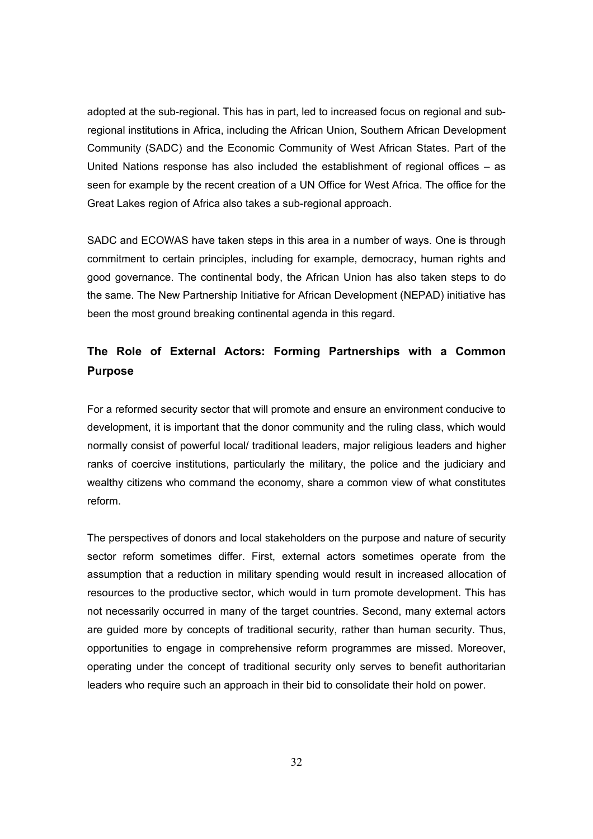adopted at the sub-regional. This has in part, led to increased focus on regional and subregional institutions in Africa, including the African Union, Southern African Development Community (SADC) and the Economic Community of West African States. Part of the United Nations response has also included the establishment of regional offices – as seen for example by the recent creation of a UN Office for West Africa. The office for the Great Lakes region of Africa also takes a sub-regional approach.

SADC and ECOWAS have taken steps in this area in a number of ways. One is through commitment to certain principles, including for example, democracy, human rights and good governance. The continental body, the African Union has also taken steps to do the same. The New Partnership Initiative for African Development (NEPAD) initiative has been the most ground breaking continental agenda in this regard.

## **The Role of External Actors: Forming Partnerships with a Common Purpose**

For a reformed security sector that will promote and ensure an environment conducive to development, it is important that the donor community and the ruling class, which would normally consist of powerful local/ traditional leaders, major religious leaders and higher ranks of coercive institutions, particularly the military, the police and the judiciary and wealthy citizens who command the economy, share a common view of what constitutes reform.

The perspectives of donors and local stakeholders on the purpose and nature of security sector reform sometimes differ. First, external actors sometimes operate from the assumption that a reduction in military spending would result in increased allocation of resources to the productive sector, which would in turn promote development. This has not necessarily occurred in many of the target countries. Second, many external actors are guided more by concepts of traditional security, rather than human security. Thus, opportunities to engage in comprehensive reform programmes are missed. Moreover, operating under the concept of traditional security only serves to benefit authoritarian leaders who require such an approach in their bid to consolidate their hold on power.